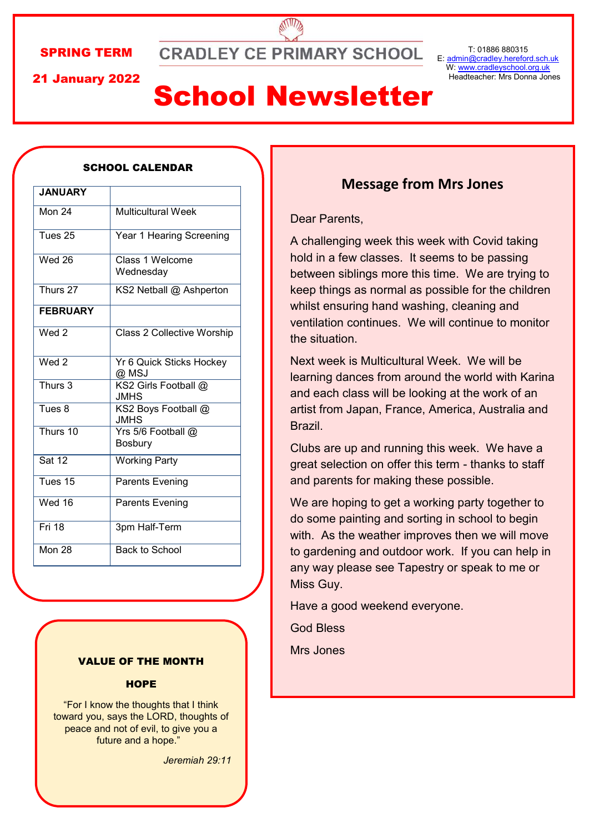#### SPRING TERM

**CRADLEY CE PRIMARY SCHOOL** 

21 January 2022

# School Newsletter

### **JANUARY** Mon 24 Multicultural Week Tues 25 Year 1 Hearing Screening Wed 26 Class 1 Welcome **Wednesday** Thurs 27 KS2 Netball @ Ashperton **FEBRUARY** Wed 2 Class 2 Collective Worship Wed 2 Yr 6 Quick Sticks Hockey @ MSJ Thurs 3 KS2 Girls Football @ **JMHS** Tues 8 | KS2 Boys Football @ **JMHS** Thurs 10 Yrs 5/6 Football @ Bosbury Sat 12 Working Party Tues 15 Parents Evening Wed 16 Parents Evening Fri 18 3pm Half-Term Mon 28 Back to School

#### SCHOOL CALENDAR

#### VALUE OF THE MONTH

#### **HOPE**

"For I know the thoughts that I think toward you, says the LORD, thoughts of peace and not of evil, to give you a future and a hope."

*Jeremiah 29:11*

#### **Message from Mrs Jones**

#### Dear Parents,

A challenging week this week with Covid taking hold in a few classes. It seems to be passing between siblings more this time. We are trying to keep things as normal as possible for the children whilst ensuring hand washing, cleaning and ventilation continues. We will continue to monitor the situation.

Next week is Multicultural Week. We will be learning dances from around the world with Karina and each class will be looking at the work of an artist from Japan, France, America, Australia and Brazil.

Clubs are up and running this week. We have a great selection on offer this term - thanks to staff and parents for making these possible.

We are hoping to get a working party together to do some painting and sorting in school to begin with. As the weather improves then we will move to gardening and outdoor work. If you can help in any way please see Tapestry or speak to me or Miss Guy.

Have a good weekend everyone.

God Bless

Mrs Jones

T: 01886 880315 E: [admin@cradley.hereford.sch.uk](mailto:admin@cradley.hereford.sch.uk) W: [www.cradleyschool.org.uk](http://www.cradleyschool.org.uk) Headteacher: Mrs Donna Jones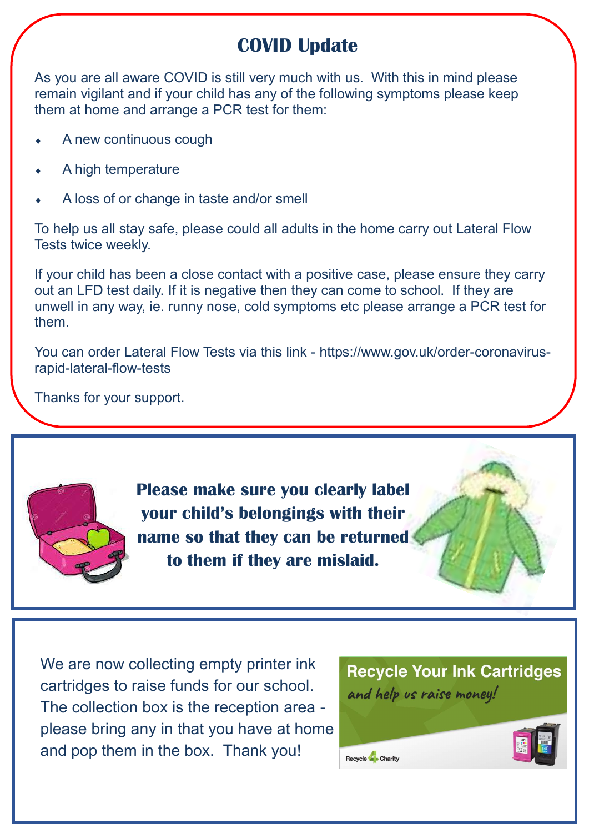## **COVID Update**

As you are all aware COVID is still very much with us. With this in mind please remain vigilant and if your child has any of the following symptoms please keep them at home and arrange a PCR test for them:

- A new continuous cough
- A high temperature
- A loss of or change in taste and/or smell

To help us all stay safe, please could all adults in the home carry out Lateral Flow Tests twice weekly.

If your child has been a close contact with a positive case, please ensure they carry out an LFD test daily. If it is negative then they can come to school. If they are unwell in any way, ie. runny nose, cold symptoms etc please arrange a PCR test for them.

You can order Lateral Flow Tests via this link - https://www.gov.uk/order-coronavirusrapid-lateral-flow-tests

Thanks for your support.



**Please make sure you clearly label your child's belongings with their name so that they can be returned to them if they are mislaid.**

We are now collecting empty printer ink cartridges to raise funds for our school. The collection box is the reception area please bring any in that you have at home and pop them in the box. Thank you!

**Recycle Your Ink Cartridges** and help us raise money!

Recycle Charity

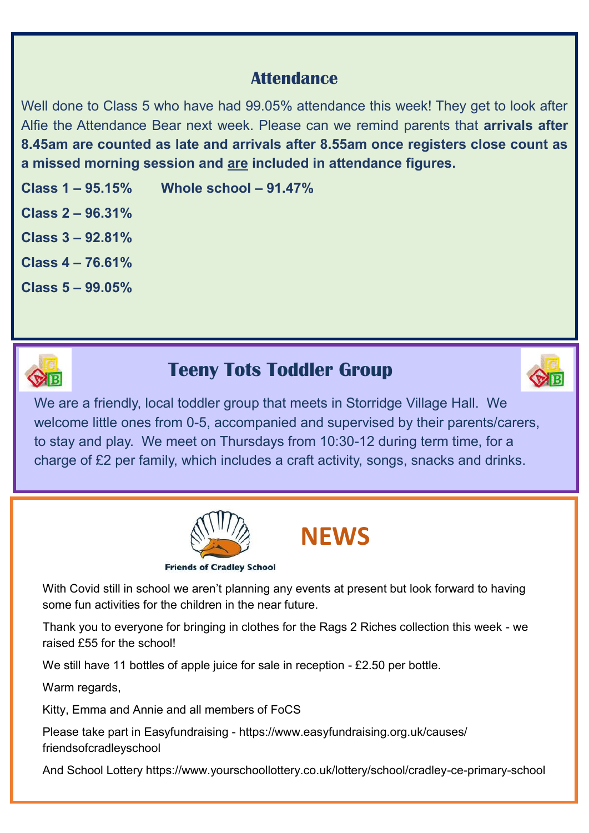### **Attendance**

Well done to Class 5 who have had 99.05% attendance this week! They get to look after Alfie the Attendance Bear next week. Please can we remind parents that **arrivals after 8.45am are counted as late and arrivals after 8.55am once registers close count as a missed morning session and are included in attendance figures.**

**Class 1 – 95.15% Whole school – 91.47%**

**Class 2 – 96.31%**

**Class 3 – 92.81%**

**Class 4 – 76.61%**

**Class 5 – 99.05%**



## **Teeny Tots Toddler Group**



We are a friendly, local toddler group that meets in Storridge Village Hall. We welcome little ones from 0-5, accompanied and supervised by their parents/carers, to stay and play. We meet on Thursdays from 10:30-12 during term time, for a charge of £2 per family, which includes a craft activity, songs, snacks and drinks.



# **NEWS**

With Covid still in school we aren't planning any events at present but look forward to having some fun activities for the children in the near future.

Thank you to everyone for bringing in clothes for the Rags 2 Riches collection this week - we raised £55 for the school!

We still have 11 bottles of apple juice for sale in reception - £2.50 per bottle.

Warm regards,

Kitty, Emma and Annie and all members of FoCS

Please take part in Easyfundraising - https://www.easyfundraising.org.uk/causes/ friendsofcradleyschool

And School Lottery https://www.yourschoollottery.co.uk/lottery/school/cradley-ce-primary-school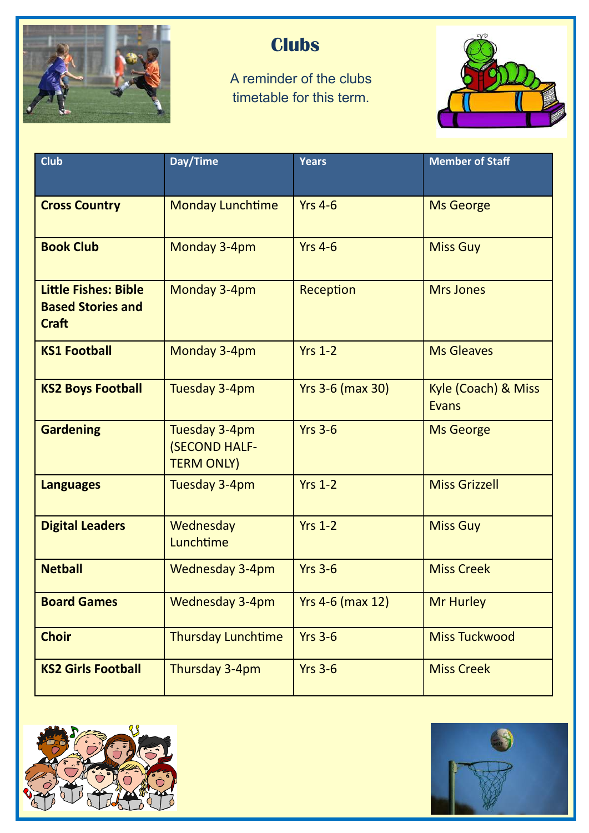

## **Clubs**

A reminder of the clubs timetable for this term.



| <b>Club</b>                                                             | Day/Time                                                   | <b>Years</b>            | <b>Member of Staff</b>              |
|-------------------------------------------------------------------------|------------------------------------------------------------|-------------------------|-------------------------------------|
|                                                                         |                                                            |                         |                                     |
| <b>Cross Country</b>                                                    | <b>Monday Lunchtime</b>                                    | <b>Yrs 4-6</b>          | <b>Ms George</b>                    |
| <b>Book Club</b>                                                        | Monday 3-4pm                                               | <b>Yrs 4-6</b>          | <b>Miss Guy</b>                     |
| <b>Little Fishes: Bible</b><br><b>Based Stories and</b><br><b>Craft</b> | Monday 3-4pm                                               | Reception               | <b>Mrs Jones</b>                    |
| <b>KS1 Football</b>                                                     | Monday 3-4pm                                               | <b>Yrs 1-2</b>          | <b>Ms Gleaves</b>                   |
| <b>KS2 Boys Football</b>                                                | Tuesday 3-4pm                                              | <b>Yrs 3-6 (max 30)</b> | Kyle (Coach) & Miss<br><b>Evans</b> |
| <b>Gardening</b>                                                        | Tuesday 3-4pm<br><b>(SECOND HALF-</b><br><b>TERM ONLY)</b> | <b>Yrs 3-6</b>          | <b>Ms George</b>                    |
| <b>Languages</b>                                                        | Tuesday 3-4pm                                              | <b>Yrs 1-2</b>          | <b>Miss Grizzell</b>                |
| <b>Digital Leaders</b>                                                  | Wednesday<br>Lunchtime                                     | $Yrs$ 1-2               | <b>Miss Guy</b>                     |
| <b>Netball</b>                                                          | <b>Wednesday 3-4pm</b>                                     | <b>Yrs 3-6</b>          | <b>Miss Creek</b>                   |
| <b>Board Games</b>                                                      | Wednesday 3-4pm                                            | <b>Yrs 4-6 (max 12)</b> | <b>Mr Hurley</b>                    |
| <b>Choir</b>                                                            | <b>Thursday Lunchtime</b>                                  | <b>Yrs 3-6</b>          | <b>Miss Tuckwood</b>                |
| <b>KS2 Girls Football</b>                                               | Thursday 3-4pm                                             | <b>Yrs 3-6</b>          | <b>Miss Creek</b>                   |



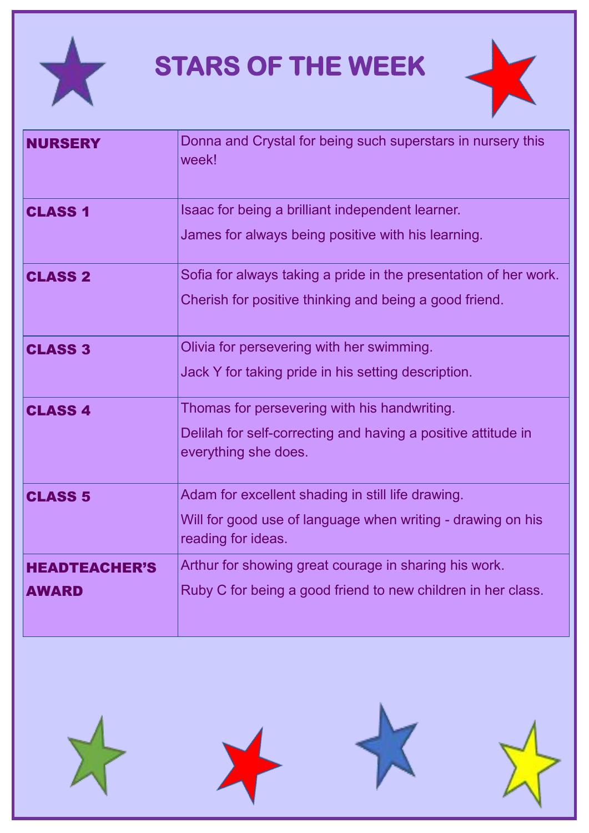

# **STARS OF THE WEEK**



| <b>NURSERY</b>                       | Donna and Crystal for being such superstars in nursery this<br>week!                                                                   |  |  |
|--------------------------------------|----------------------------------------------------------------------------------------------------------------------------------------|--|--|
| <b>CLASS 1</b>                       | Isaac for being a brilliant independent learner.<br>James for always being positive with his learning.                                 |  |  |
| <b>CLASS 2</b>                       | Sofia for always taking a pride in the presentation of her work.<br>Cherish for positive thinking and being a good friend.             |  |  |
| <b>CLASS 3</b>                       | Olivia for persevering with her swimming.<br>Jack Y for taking pride in his setting description.                                       |  |  |
| <b>CLASS 4</b>                       | Thomas for persevering with his handwriting.<br>Delilah for self-correcting and having a positive attitude in<br>everything she does.  |  |  |
| <b>CLASS 5</b>                       | Adam for excellent shading in still life drawing.<br>Will for good use of language when writing - drawing on his<br>reading for ideas. |  |  |
| <b>HEADTEACHER'S</b><br><b>AWARD</b> | Arthur for showing great courage in sharing his work.<br>Ruby C for being a good friend to new children in her class.                  |  |  |







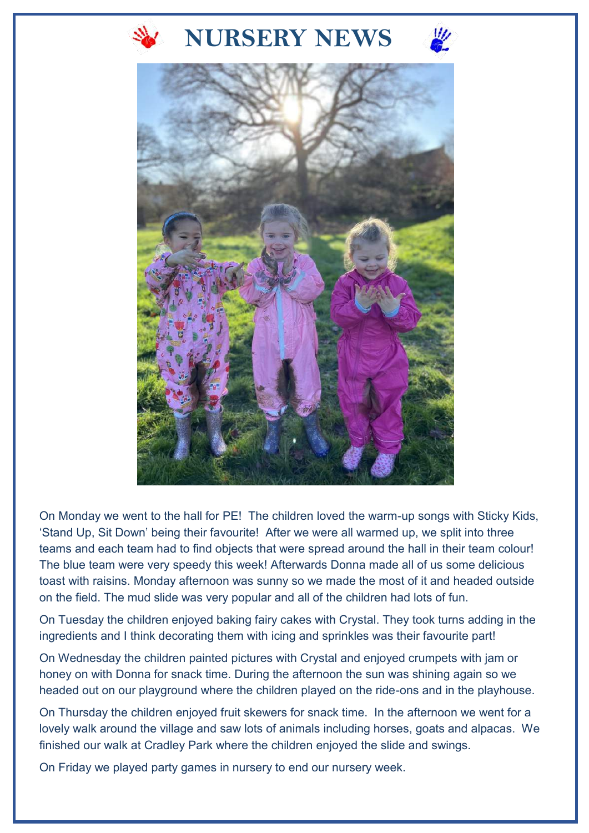

## **NURSERY NEWS**





On Monday we went to the hall for PE! The children loved the warm-up songs with Sticky Kids, 'Stand Up, Sit Down' being their favourite! After we were all warmed up, we split into three teams and each team had to find objects that were spread around the hall in their team colour! The blue team were very speedy this week! Afterwards Donna made all of us some delicious toast with raisins. Monday afternoon was sunny so we made the most of it and headed outside on the field. The mud slide was very popular and all of the children had lots of fun.

On Tuesday the children enjoyed baking fairy cakes with Crystal. They took turns adding in the ingredients and I think decorating them with icing and sprinkles was their favourite part!

On Wednesday the children painted pictures with Crystal and enjoyed crumpets with jam or honey on with Donna for snack time. During the afternoon the sun was shining again so we headed out on our playground where the children played on the ride-ons and in the playhouse.

On Thursday the children enjoyed fruit skewers for snack time. In the afternoon we went for a lovely walk around the village and saw lots of animals including horses, goats and alpacas. We finished our walk at Cradley Park where the children enjoyed the slide and swings.

On Friday we played party games in nursery to end our nursery week.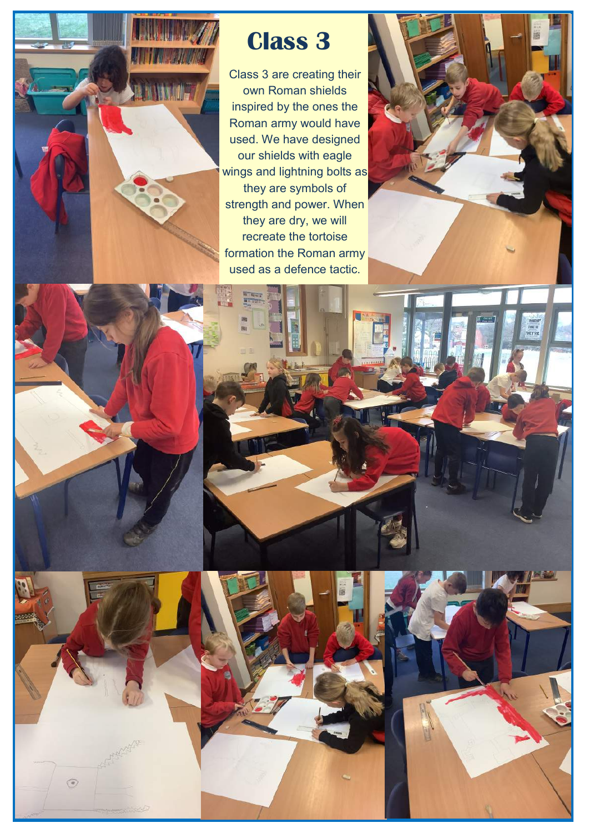

## **Class 3**

Class 3 are creating their own Roman shields inspired by the ones the Roman army would have used. We have designed our shields with eagle wings and lightning bolts as they are symbols of strength and power. When they are dry, we will recreate the tortoise formation the Roman army used as a defence tactic.









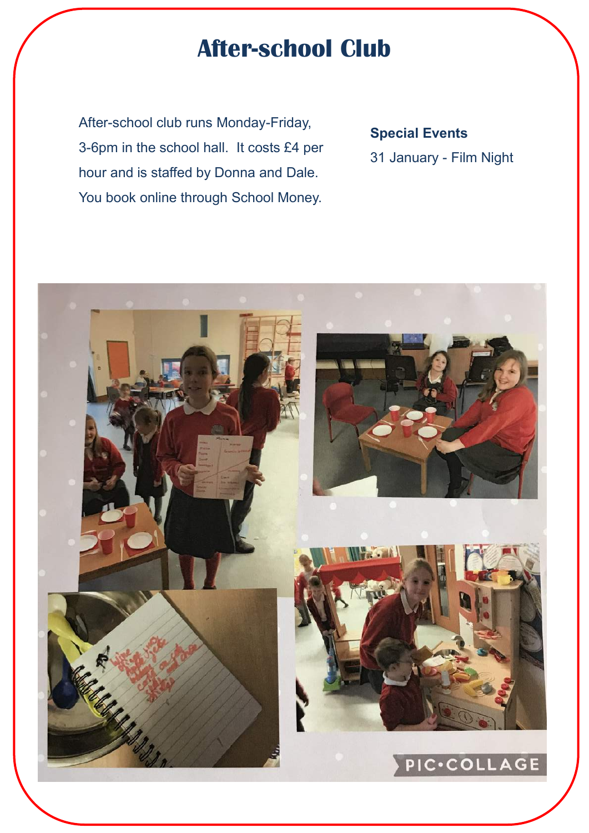## **After-school Club**

After-school club runs Monday-Friday, 3-6pm in the school hall. It costs £4 per hour and is staffed by Donna and Dale. You book online through School Money.

#### **Special Events**

31 January - Film Night

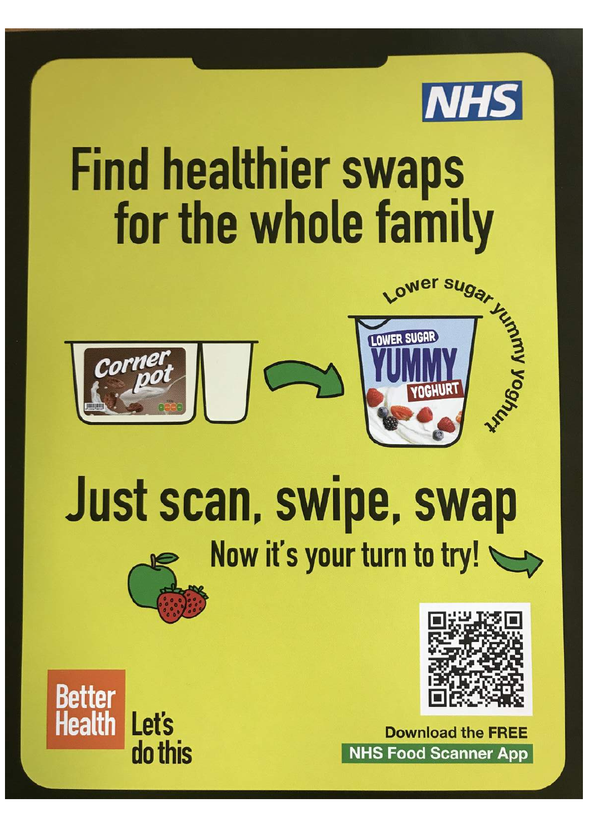

# **Find healthier swaps** for the whole family





# Just scan, swipe, swap Now it's your turn to try!



**Download the FREE NHS Food Scanner App**